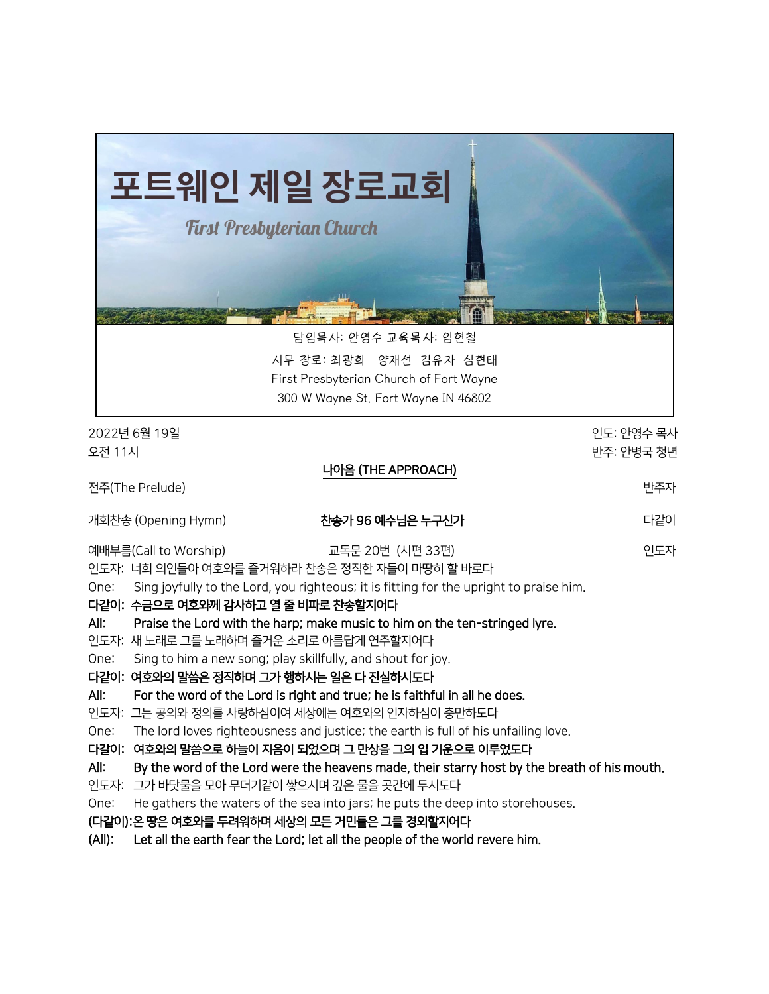| 포트웨인 제일 장로교회<br><b>First Presbyterian Church</b><br>담임목사: 안영수 교육목사: 임현철<br>시무 장로: 최광희 양재선 김유자 심현태<br>First Presbyterian Church of Fort Wayne<br>300 W Wayne St. Fort Wayne IN 46802                                                                                                                                                                                                                                                                                                                                                                                                                                                                                                                                                                                                                                                                                                                                                                                                                                                                    |                                                                                                                         |
|--------------------------------------------------------------------------------------------------------------------------------------------------------------------------------------------------------------------------------------------------------------------------------------------------------------------------------------------------------------------------------------------------------------------------------------------------------------------------------------------------------------------------------------------------------------------------------------------------------------------------------------------------------------------------------------------------------------------------------------------------------------------------------------------------------------------------------------------------------------------------------------------------------------------------------------------------------------------------------------------------------------------------------------------------------|-------------------------------------------------------------------------------------------------------------------------|
| 2022년 6월 19일<br>오전 11시                                                                                                                                                                                                                                                                                                                                                                                                                                                                                                                                                                                                                                                                                                                                                                                                                                                                                                                                                                                                                                 | 인도: 안영수 목사<br>반주: 안병국 청년                                                                                                |
| 나아옴 (THE APPROACH)<br>전주(The Prelude)                                                                                                                                                                                                                                                                                                                                                                                                                                                                                                                                                                                                                                                                                                                                                                                                                                                                                                                                                                                                                  | 반주자                                                                                                                     |
| 개회찬송 (Opening Hymn)                                                                                                                                                                                                                                                                                                                                                                                                                                                                                                                                                                                                                                                                                                                                                                                                                                                                                                                                                                                                                                    | 다같이<br>찬송가 96 예수님은 누구신가                                                                                                 |
| 예배부름(Call to Worship)<br>인도자: 너희 의인들아 여호와를 즐거워하라 찬송은 정직한 자들이 마땅히 할 바로다<br>Sing joyfully to the Lord, you righteous; it is fitting for the upright to praise him.<br>One:<br>다같이: 수금으로 여호와께 감사하고 열 줄 비파로 찬송할지어다<br>All:<br>Praise the Lord with the harp; make music to him on the ten-stringed lyre.<br>인도자: 새 노래로 그를 노래하며 즐거운 소리로 아름답게 연주할지어다<br>Sing to him a new song; play skillfully, and shout for joy.<br>One:<br>다같이: 여호와의 말씀은 정직하며 그가 행하시는 일은 다 진실하시도다<br>For the word of the Lord is right and true; he is faithful in all he does.<br>All:<br>인도자: 그는 공의와 정의를 사랑하심이여 세상에는 여호와의 인자하심이 충만하도다<br>The lord loves righteousness and justice; the earth is full of his unfailing love.<br>One:<br>다갈이:<br>여호와의 말씀으로 하늘이 지음이 되었으며 그 만상을 그의 입 기운으로 이루었도다<br>All:<br>인도자: 그가 바닷물을 모아 무더기같이 쌓으시며 깊은 물을 곳간에 두시도다<br>He gathers the waters of the sea into jars; he puts the deep into storehouses.<br>One:<br>(다같이):온 땅은 여호와를 두려워하며 세상의 모든 거민들은 그를 경외할지어다<br>$(AII)$ :<br>Let all the earth fear the Lord; let all the people of the world revere him. | 인도자<br>교독문 20번 (시편 33편)<br>By the word of the Lord were the heavens made, their starry host by the breath of his mouth. |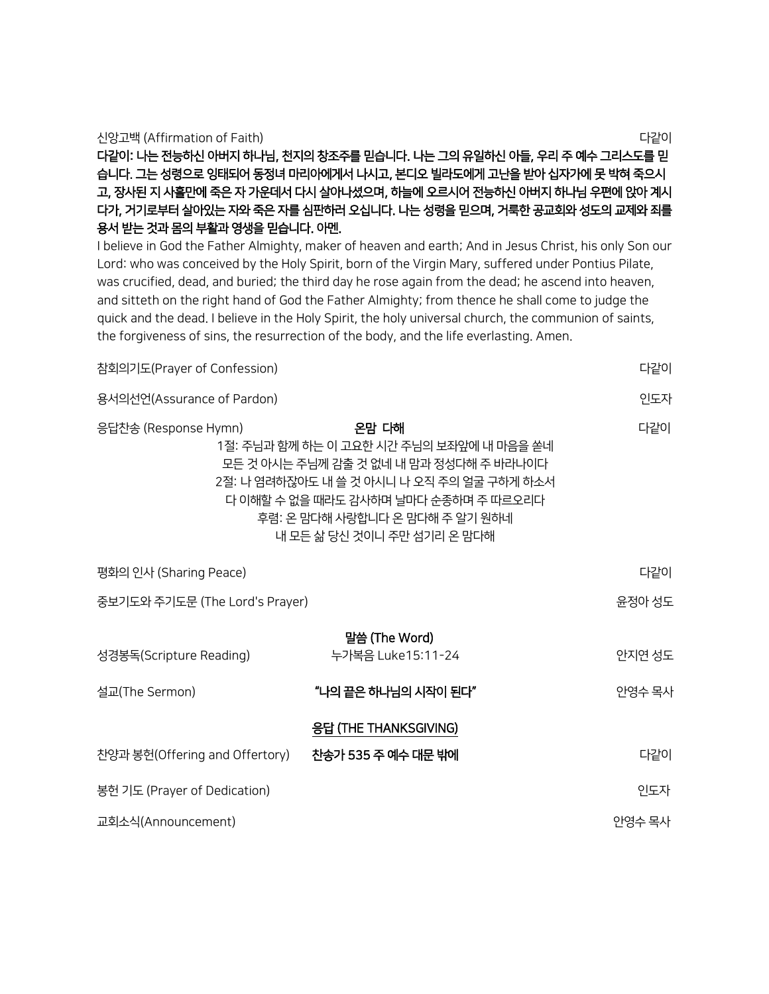| 신앙고백 (Affirmation of Faith)                                         | 다같이 |
|---------------------------------------------------------------------|-----|
| 다같이: 나는 전능하신 아버지 하나님, 천지의 창조주를 믿습니다. 나는 그의 유일하신 아들, 우리 주 예수 그리스도를 믿 |     |
| 습니다. 그는 성령으로 잉태되어 동정녀 마리아에게서 나시고, 본디오 빌라도에게 고난을 받아 십자가에 못 박혀 죽으시    |     |
| 고, 장사된 지 사흘만에 죽은 자 가운데서 다시 살아나셨으며, 하늘에 오르시어 전능하신 아버지 하나님 우편에 앉아 계시  |     |
| 다가, 거기로부터 살아있는 자와 죽은 자를 심판하러 오십니다. 나는 성령을 믿으며, 거룩한 공교회와 성도의 교제와 죄를  |     |
| 용서 받는 것과 몸의 부활과 영생을 믿습니다. 아메.                                       |     |

I believe in God the Father Almighty, maker of heaven and earth; And in Jesus Christ, his only Son our Lord: who was conceived by the Holy Spirit, born of the Virgin Mary, suffered under Pontius Pilate, was crucified, dead, and buried; the third day he rose again from the dead; he ascend into heaven, and sitteth on the right hand of God the Father Almighty; from thence he shall come to judge the quick and the dead. I believe in the Holy Spirit, the holy universal church, the communion of saints, the forgiveness of sins, the resurrection of the body, and the life everlasting. Amen.

참회의기도(Prayer of Confession) 다같이

| 용서의선언(Assurance of Pardon)     |                                                                                                                                                                                                                                                  | 인도자    |
|--------------------------------|--------------------------------------------------------------------------------------------------------------------------------------------------------------------------------------------------------------------------------------------------|--------|
| 응답찬송 (Response Hymn)           | 온맘 다해<br>1절: 주님과 함께 하는 이 고요한 시간 주님의 보좌앞에 내 마음을 쏟네<br>모든 것 아시는 주님께 감출 것 없네 내 맘과 정성다해 주 바라나이다<br>2절: 나 염려하잖아도 내 쓸 것 아시니 나 오직 주의 얼굴 구하게 하소서<br>다 이해할 수 없을 때라도 감사하며 날마다 순종하며 주 따르오리다<br>후렴: 온 맘다해 사랑합니다 온 맘다해 주 알기 원하네<br>내 모든 삶 당신 것이니 주만 섬기리 온 맘다해 | 다같이    |
| 평화의 인사 (Sharing Peace)         |                                                                                                                                                                                                                                                  | 다같이    |
| 중보기도와 주기도문 (The Lord's Prayer) |                                                                                                                                                                                                                                                  | 윤정아 성도 |
| 성경봉독(Scripture Reading)        | 말씀 (The Word)<br>누가복음 Luke15:11-24                                                                                                                                                                                                               | 안지연 성도 |
| 설교(The Sermon)                 | "나의 끝은 하나님의 시작이 된다"                                                                                                                                                                                                                              | 안영수 목사 |
|                                | 응답 (THE THANKSGIVING)                                                                                                                                                                                                                            |        |
| 찬양과 봉헌(Offering and Offertory) | 찬송가 535 주 예수 대문 밖에                                                                                                                                                                                                                               | 다같이    |
| 봉헌 기도 (Prayer of Dedication)   |                                                                                                                                                                                                                                                  | 인도자    |
| 교회소식(Announcement)             |                                                                                                                                                                                                                                                  | 안영수 목사 |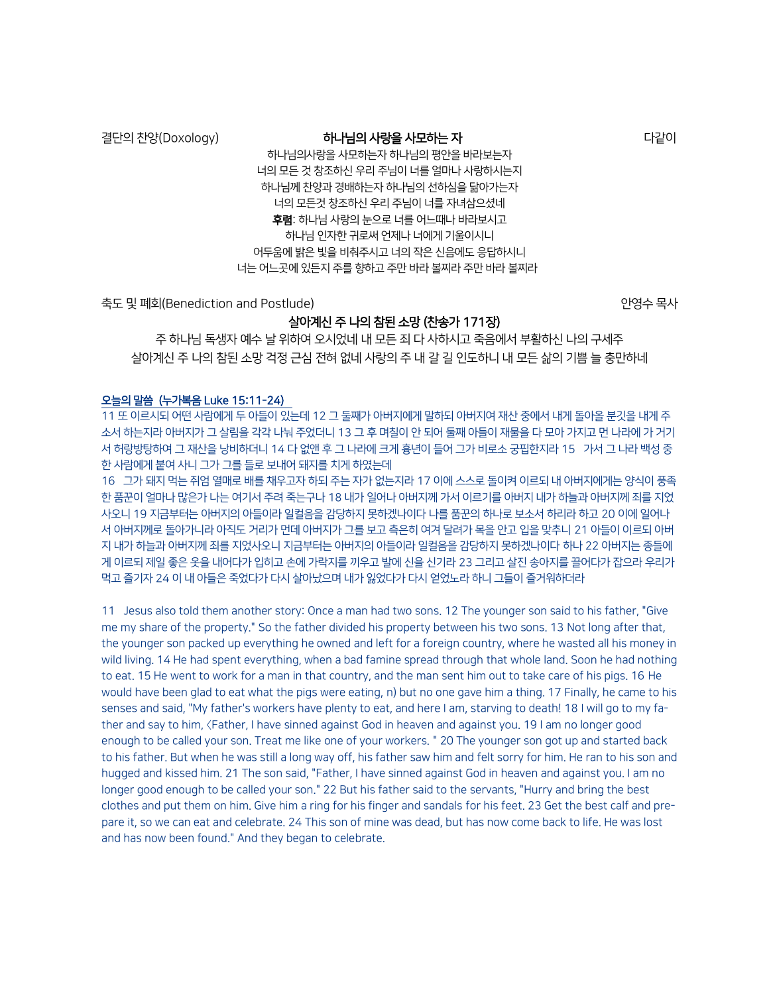### 결단의 찬양(Doxology) **""" """ "하나님의 사랑을 사모하는 자** """ "" "" "" "" "다같이

하나님의사랑을 사모하는자 하나님의 평안을 바라보는자 너의 모든 것 창조하신 우리 주님이 너를 얼마나 사랑하시는지 하나님께 찬양과 경배하는자 하나님의 선하심을 닮아가는자 너의 모든것 창조하신 우리 주님이 너를 자녀삼으셨네 후렴: 하나님 사랑의 눈으로 너를 어느때나 바라보시고 하나님 인자한 귀로써 언제나 너에게 기울이시니 어두움에 밝은 빛을 비춰주시고 너의 작은 신음에도 응답하시니 너는 어느곳에 있든지 주를 향하고 주만 바라 볼찌라 주만 바라 볼찌라

축도 및 폐회(Benediction and Postlude) @ # # # # # # # # # # # # # # 안영수 목사

# 살아계신 주 나의 참된 소망 (찬송가 171장)

주 하나님 독생자 예수 날 위하여 오시었네 내 모든 죄 다 사하시고 죽음에서 부활하신 나의 구세주 살아계신 주 나의 참된 소망 걱정 근심 전혀 없네 사랑의 주 내 갈 길 인도하니 내 모든 삶의 기쁨 늘 충만하네

#### 오늘의 말씀 (누가복음 Luke 15:11-24)

11 또 이르시되 어떤 사람에게 두 아들이 있는데 12 그 둘째가 아버지에게 말하되 아버지여 재산 중에서 내게 돌아올 분깃을 내게 주 소서 하는지라 아버지가 그 살림을 각각 나눠 주었더니 13 그 후 며칠이 안 되어 둘째 아들이 재물을 다 모아 가지고 먼 나라에 가 거기 서 허랑방탕하여 그 재산을 낭비하더니 14 다 없앤 후 그 나라에 크게 흉년이 들어 그가 비로소 궁핍한지라 15 가서 그 나라 백성 중 한 사람에게 붙여 사니 그가 그를 들로 보내어 돼지를 치게 하였는데

16 그가 돼지 먹는 쥐엄 열매로 배를 채우고자 하되 주는 자가 없는지라 17 이에 스스로 돌이켜 이르되 내 아버지에게는 양식이 풍족 한 품꾼이 얼마나 많은가 나는 여기서 주려 죽는구나 18 내가 일어나 아버지께 가서 이르기를 아버지 내가 하늘과 아버지께 죄를 지었 사오니 19 지금부터는 아버지의 아들이라 일컬음을 감당하지 못하겠나이다 나를 품꾼의 하나로 보소서 하리라 하고 20 이에 일어나 서 아버지께로 돌아가니라 아직도 거리가 먼데 아버지가 그를 보고 측은히 여겨 달려가 목을 안고 입을 맞추니 21 아들이 이르되 아버 지 내가 하늘과 아버지께 죄를 지었사오니 지금부터는 아버지의 아들이라 일컬음을 감당하지 못하겠나이다 하나 22 아버지는 종들에 게 이르되 제일 좋은 옷을 내어다가 입히고 손에 가락지를 끼우고 발에 신을 신기라 23 그리고 살진 송아지를 끌어다가 잡으라 우리가 먹고 즐기자 24 이 내 아들은 죽었다가 다시 살아났으며 내가 잃었다가 다시 얻었노라 하니 그들이 즐거워하더라

11 Jesus also told them another story: Once a man had two sons. 12 The younger son said to his father, "Give me my share of the property." So the father divided his property between his two sons. 13 Not long after that, the younger son packed up everything he owned and left for a foreign country, where he wasted all his money in wild living. 14 He had spent everything, when a bad famine spread through that whole land. Soon he had nothing to eat. 15 He went to work for a man in that country, and the man sent him out to take care of his pigs. 16 He would have been glad to eat what the pigs were eating, n) but no one gave him a thing. 17 Finally, he came to his senses and said, "My father's workers have plenty to eat, and here I am, starving to death! 18 I will go to my father and say to him, 〈Father, I have sinned against God in heaven and against you. 19 I am no longer good enough to be called your son. Treat me like one of your workers. " 20 The younger son got up and started back to his father. But when he was still a long way off, his father saw him and felt sorry for him. He ran to his son and hugged and kissed him. 21 The son said, "Father, I have sinned against God in heaven and against you. I am no longer good enough to be called your son." 22 But his father said to the servants, "Hurry and bring the best clothes and put them on him. Give him a ring for his finger and sandals for his feet. 23 Get the best calf and prepare it, so we can eat and celebrate. 24 This son of mine was dead, but has now come back to life. He was lost and has now been found." And they began to celebrate.